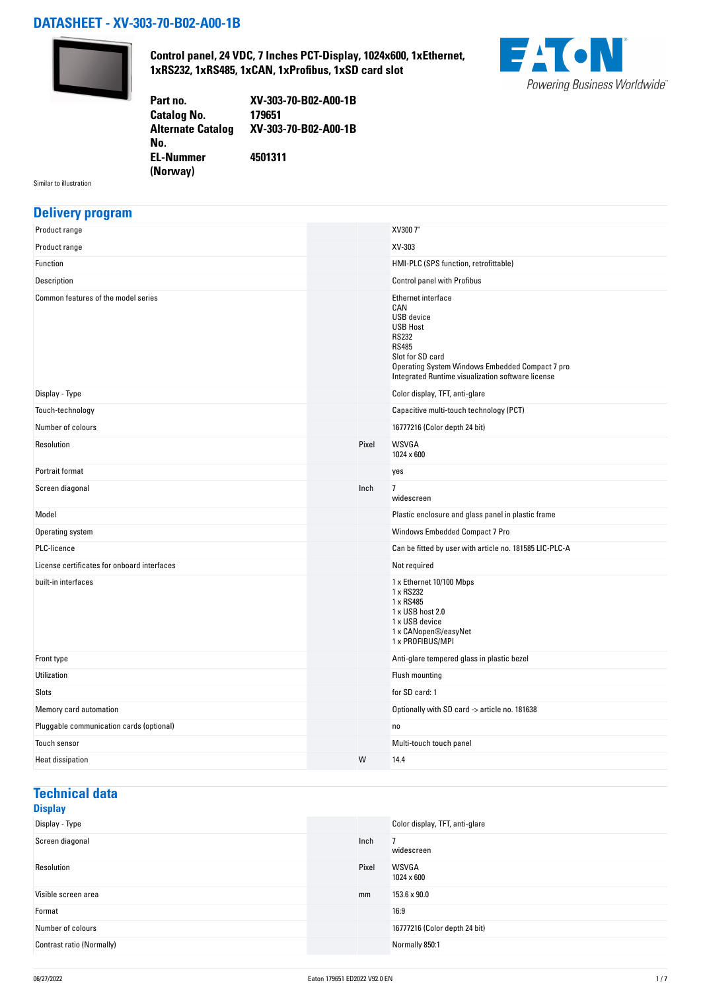### **DATASHEET - XV-303-70-B02-A00-1B**



**Control panel, 24 VDC, 7 Inches PCT-Display, 1024x600, 1xEthernet, 1xRS232, 1xRS485, 1xCAN, 1xProfibus, 1xSD card slot**



**Part no. XV-303-70-B02-A00-1B Catalog No. Alternate Catalog No. XV-303-70-B02-A00-1B EL-Nummer (Norway) 4501311**

Similar to illustration

### **Delivery program**

| Product range                               |       | XV300 7"                                                                                                                                                                                                                      |
|---------------------------------------------|-------|-------------------------------------------------------------------------------------------------------------------------------------------------------------------------------------------------------------------------------|
| Product range                               |       | XV-303                                                                                                                                                                                                                        |
| Function                                    |       | HMI-PLC (SPS function, retrofittable)                                                                                                                                                                                         |
| Description                                 |       | <b>Control panel with Profibus</b>                                                                                                                                                                                            |
| Common features of the model series         |       | Ethernet interface<br>CAN<br><b>USB</b> device<br><b>USB Host</b><br><b>RS232</b><br><b>RS485</b><br>Slot for SD card<br>Operating System Windows Embedded Compact 7 pro<br>Integrated Runtime visualization software license |
| Display - Type                              |       | Color display, TFT, anti-glare                                                                                                                                                                                                |
| Touch-technology                            |       | Capacitive multi-touch technology (PCT)                                                                                                                                                                                       |
| Number of colours                           |       | 16777216 (Color depth 24 bit)                                                                                                                                                                                                 |
| Resolution                                  | Pixel | <b>WSVGA</b><br>1024 x 600                                                                                                                                                                                                    |
| Portrait format                             |       | yes                                                                                                                                                                                                                           |
| Screen diagonal                             | Inch  | $\overline{7}$<br>widescreen                                                                                                                                                                                                  |
| Model                                       |       | Plastic enclosure and glass panel in plastic frame                                                                                                                                                                            |
| Operating system                            |       | Windows Embedded Compact 7 Pro                                                                                                                                                                                                |
| PLC-licence                                 |       | Can be fitted by user with article no. 181585 LIC-PLC-A                                                                                                                                                                       |
| License certificates for onboard interfaces |       | Not required                                                                                                                                                                                                                  |
| built-in interfaces                         |       | 1 x Ethernet 10/100 Mbps<br>1 x RS232<br>1 x RS485<br>1 x USB host 2.0<br>1 x USB device<br>1 x CANopen®/easyNet<br>1 x PROFIBUS/MPI                                                                                          |
| Front type                                  |       | Anti-glare tempered glass in plastic bezel                                                                                                                                                                                    |
| Utilization                                 |       | Flush mounting                                                                                                                                                                                                                |
| Slots                                       |       | for SD card: 1                                                                                                                                                                                                                |
| Memory card automation                      |       | Optionally with SD card -> article no. 181638                                                                                                                                                                                 |
| Pluggable communication cards (optional)    |       | no                                                                                                                                                                                                                            |
| Touch sensor                                |       | Multi-touch touch panel                                                                                                                                                                                                       |
| <b>Heat dissipation</b>                     | W     | 14.4                                                                                                                                                                                                                          |

## **Technical data**

#### **Display**<br>Display - Type Color display, TFT, anti-glare Screen diagonal and the set of the set of the set of the set of the set of the set of the set of the set of the set of the set of the set of the set of the set of the set of the set of the set of the set of the set of the widescreen Resolution **Pixel WSVGA** 1024 x 600 Visible screen area mm 153.6 x 90.0 Format 16:9 Number of colours 16777216 (Color depth 24 bit) Contrast ratio (Normally) Normally 850:1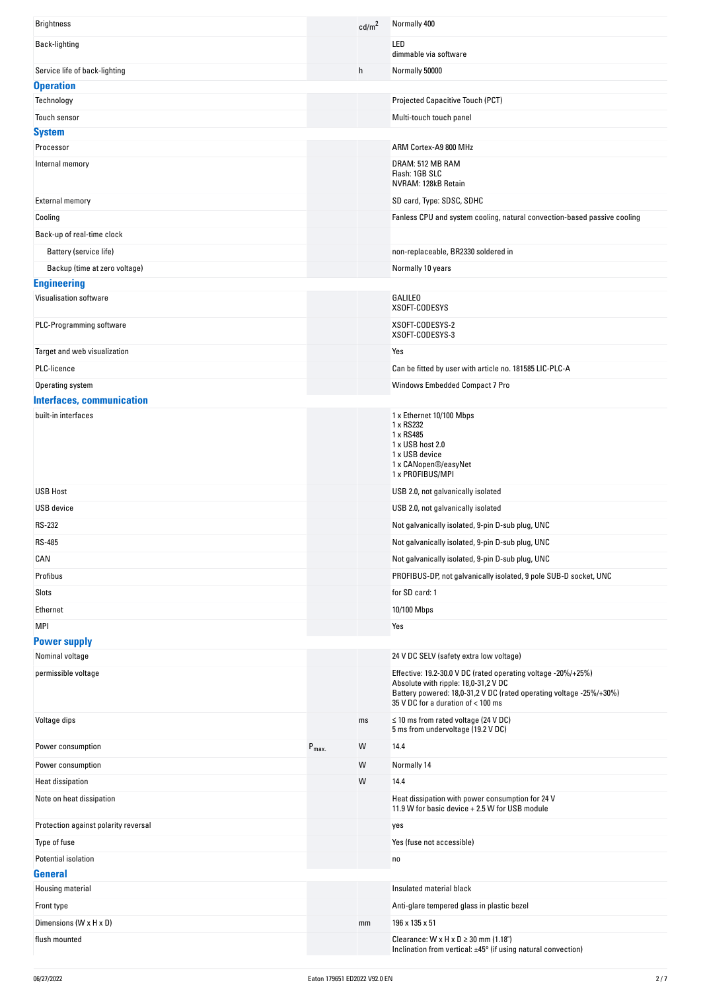| <b>Brightness</b>                      |                  | cd/m <sup>2</sup> | Normally 400                                                                                          |
|----------------------------------------|------------------|-------------------|-------------------------------------------------------------------------------------------------------|
| Back-lighting                          |                  |                   | LED<br>dimmable via software                                                                          |
| Service life of back-lighting          |                  | h                 | Normally 50000                                                                                        |
| <b>Operation</b>                       |                  |                   |                                                                                                       |
| Technology                             |                  |                   | Projected Capacitive Touch (PCT)                                                                      |
| Touch sensor                           |                  |                   | Multi-touch touch panel                                                                               |
| <b>System</b>                          |                  |                   |                                                                                                       |
| Processor                              |                  |                   | ARM Cortex-A9 800 MHz                                                                                 |
| Internal memory                        |                  |                   | DRAM: 512 MB RAM                                                                                      |
|                                        |                  |                   | Flash: 1GB SLC<br>NVRAM: 128kB Retain                                                                 |
| <b>External memory</b>                 |                  |                   | SD card, Type: SDSC, SDHC                                                                             |
| Cooling                                |                  |                   | Fanless CPU and system cooling, natural convection-based passive cooling                              |
| Back-up of real-time clock             |                  |                   |                                                                                                       |
| Battery (service life)                 |                  |                   | non-replaceable, BR2330 soldered in                                                                   |
| Backup (time at zero voltage)          |                  |                   | Normally 10 years                                                                                     |
| <b>Engineering</b>                     |                  |                   |                                                                                                       |
| Visualisation software                 |                  |                   | <b>GALILEO</b><br>XSOFT-CODESYS                                                                       |
| PLC-Programming software               |                  |                   | XSOFT-CODESYS-2<br>XSOFT-CODESYS-3                                                                    |
| Target and web visualization           |                  |                   | Yes                                                                                                   |
| PLC-licence                            |                  |                   | Can be fitted by user with article no. 181585 LIC-PLC-A                                               |
| Operating system                       |                  |                   | Windows Embedded Compact 7 Pro                                                                        |
| <b>Interfaces, communication</b>       |                  |                   |                                                                                                       |
| built-in interfaces                    |                  |                   | 1 x Ethernet 10/100 Mbps                                                                              |
|                                        |                  |                   | 1 x RS232                                                                                             |
|                                        |                  |                   | 1 x RS485<br>1 x USB host 2.0                                                                         |
|                                        |                  |                   | 1 x USB device                                                                                        |
|                                        |                  |                   | 1 x CANopen®/easyNet<br>1 x PROFIBUS/MPI                                                              |
| <b>USB Host</b>                        |                  |                   | USB 2.0, not galvanically isolated                                                                    |
| USB device                             |                  |                   | USB 2.0, not galvanically isolated                                                                    |
| <b>RS-232</b>                          |                  |                   | Not galvanically isolated, 9-pin D-sub plug, UNC                                                      |
| <b>RS-485</b>                          |                  |                   | Not galvanically isolated, 9-pin D-sub plug, UNC                                                      |
| CAN                                    |                  |                   | Not galvanically isolated, 9-pin D-sub plug, UNC                                                      |
| Profibus                               |                  |                   | PROFIBUS-DP, not galvanically isolated, 9 pole SUB-D socket, UNC                                      |
| Slots                                  |                  |                   | for SD card: 1                                                                                        |
| Ethernet                               |                  |                   |                                                                                                       |
|                                        |                  |                   | 10/100 Mbps                                                                                           |
| <b>MPI</b>                             |                  |                   |                                                                                                       |
| <b>Power supply</b><br>Nominal voltage |                  |                   | Yes                                                                                                   |
|                                        |                  |                   |                                                                                                       |
|                                        |                  |                   | 24 V DC SELV (safety extra low voltage)                                                               |
| permissible voltage                    |                  |                   | Effective: 19.2-30.0 V DC (rated operating voltage -20%/+25%)<br>Absolute with ripple: 18,0-31,2 V DC |
|                                        |                  |                   | Battery powered: 18,0-31,2 V DC (rated operating voltage -25%/+30%)                                   |
|                                        |                  |                   | 35 V DC for a duration of < 100 ms                                                                    |
| Voltage dips                           |                  | ms                | $\leq$ 10 ms from rated voltage (24 V DC)<br>5 ms from undervoltage (19.2 V DC)                       |
| Power consumption                      | $P_{\text{max}}$ | W                 | 14.4                                                                                                  |
| Power consumption                      |                  | W                 | Normally 14                                                                                           |
| <b>Heat dissipation</b>                |                  | W                 | 14.4                                                                                                  |
| Note on heat dissipation               |                  |                   | Heat dissipation with power consumption for 24 V<br>11.9 W for basic device + 2.5 W for USB module    |
| Protection against polarity reversal   |                  |                   | yes                                                                                                   |
| Type of fuse                           |                  |                   | Yes (fuse not accessible)                                                                             |
| Potential isolation                    |                  |                   | no                                                                                                    |
| General                                |                  |                   |                                                                                                       |
| Housing material                       |                  |                   | Insulated material black                                                                              |
| Front type                             |                  |                   | Anti-glare tempered glass in plastic bezel                                                            |
| Dimensions (W x H x D)                 |                  | mm                | 196 x 135 x 51                                                                                        |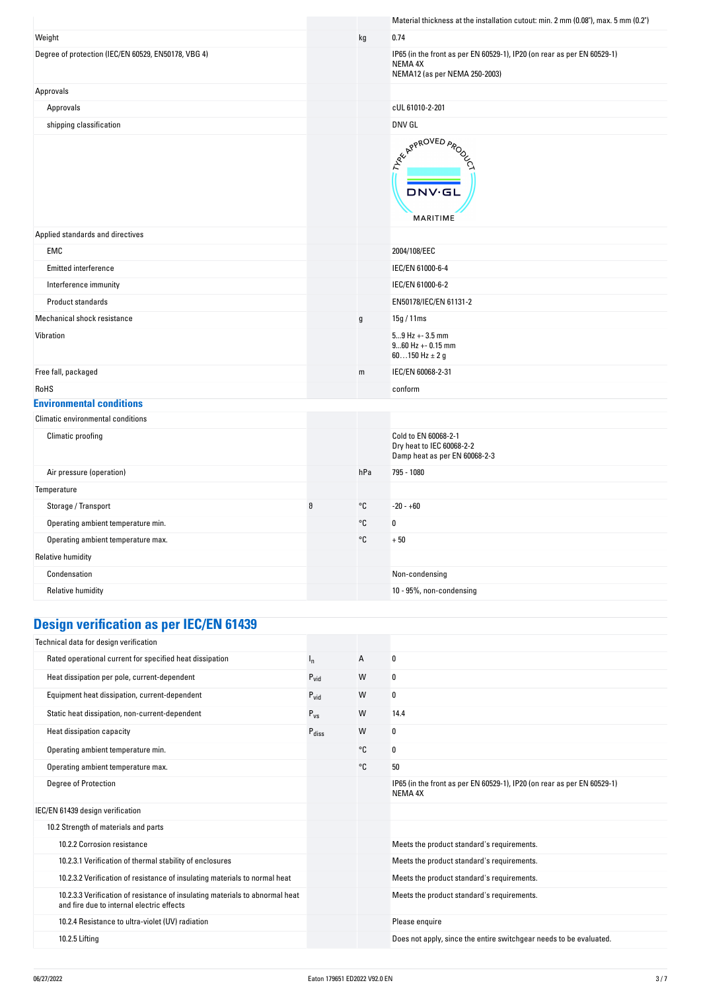|                                                     |   |                   | Material thickness at the installation cutout: min. 2 mm (0.08"), max. 5 mm (0.2")                                  |
|-----------------------------------------------------|---|-------------------|---------------------------------------------------------------------------------------------------------------------|
| Weight                                              |   | kg                | 0.74                                                                                                                |
| Degree of protection (IEC/EN 60529, EN50178, VBG 4) |   |                   | IP65 (in the front as per EN 60529-1), IP20 (on rear as per EN 60529-1)<br>NEMA 4X<br>NEMA12 (as per NEMA 250-2003) |
| Approvals                                           |   |                   |                                                                                                                     |
| Approvals                                           |   |                   | cUL 61010-2-201                                                                                                     |
| shipping classification                             |   |                   | DNV GL                                                                                                              |
|                                                     |   |                   | ARY APPROVED APON<br><b>DNV·GL</b><br>MARITIME                                                                      |
| Applied standards and directives                    |   |                   |                                                                                                                     |
| EMC                                                 |   |                   | 2004/108/EEC                                                                                                        |
| Emitted interference                                |   |                   | IEC/EN 61000-6-4                                                                                                    |
| Interference immunity                               |   |                   | IEC/EN 61000-6-2                                                                                                    |
| Product standards                                   |   |                   | EN50178/IEC/EN 61131-2                                                                                              |
| Mechanical shock resistance                         |   | $\mathsf g$       | 15g / 11ms                                                                                                          |
| Vibration                                           |   |                   | $59$ Hz + - 3.5 mm<br>$960$ Hz + - 0.15 mm<br>60150 Hz $\pm$ 2 g                                                    |
| Free fall, packaged                                 |   | m                 | IEC/EN 60068-2-31                                                                                                   |
| RoHS                                                |   |                   | conform                                                                                                             |
| <b>Environmental conditions</b>                     |   |                   |                                                                                                                     |
| Climatic environmental conditions                   |   |                   |                                                                                                                     |
| Climatic proofing                                   |   |                   | Cold to EN 60068-2-1<br>Dry heat to IEC 60068-2-2<br>Damp heat as per EN 60068-2-3                                  |
| Air pressure (operation)                            |   | hPa               | 795 - 1080                                                                                                          |
| Temperature                                         |   |                   |                                                                                                                     |
| Storage / Transport                                 | θ | °C                | $-20 - +60$                                                                                                         |
| Operating ambient temperature min.                  |   | $^{\circ}{\tt C}$ | $\pmb{0}$                                                                                                           |
| Operating ambient temperature max.                  |   | °C                | $+50$                                                                                                               |
| <b>Relative humidity</b>                            |   |                   |                                                                                                                     |
| Condensation                                        |   |                   | Non-condensing                                                                                                      |
| <b>Relative humidity</b>                            |   |                   | 10 - 95%, non-condensing                                                                                            |
|                                                     |   |                   |                                                                                                                     |

# **Design verification as per IEC/EN 61439**

| Technical data for design verification                                                                                    |                   |    |                                                                                    |
|---------------------------------------------------------------------------------------------------------------------------|-------------------|----|------------------------------------------------------------------------------------|
| Rated operational current for specified heat dissipation                                                                  | ı,                | A  | 0                                                                                  |
| Heat dissipation per pole, current-dependent                                                                              | $P_{\text{vid}}$  | W  | 0                                                                                  |
| Equipment heat dissipation, current-dependent                                                                             | $P_{\text{vid}}$  | W  | 0                                                                                  |
| Static heat dissipation, non-current-dependent                                                                            | $P_{VS}$          | W  | 14.4                                                                               |
| Heat dissipation capacity                                                                                                 | $P_{\text{diss}}$ | W  | 0                                                                                  |
| Operating ambient temperature min.                                                                                        |                   | °C | 0                                                                                  |
| Operating ambient temperature max.                                                                                        |                   | °C | 50                                                                                 |
| <b>Degree of Protection</b>                                                                                               |                   |    | IP65 (in the front as per EN 60529-1), IP20 (on rear as per EN 60529-1)<br>NEMA 4X |
| IEC/EN 61439 design verification                                                                                          |                   |    |                                                                                    |
| 10.2 Strength of materials and parts                                                                                      |                   |    |                                                                                    |
| 10.2.2 Corrosion resistance                                                                                               |                   |    | Meets the product standard's requirements.                                         |
| 10.2.3.1 Verification of thermal stability of enclosures                                                                  |                   |    | Meets the product standard's requirements.                                         |
| 10.2.3.2 Verification of resistance of insulating materials to normal heat                                                |                   |    | Meets the product standard's requirements.                                         |
| 10.2.3.3 Verification of resistance of insulating materials to abnormal heat<br>and fire due to internal electric effects |                   |    | Meets the product standard's requirements.                                         |
| 10.2.4 Resistance to ultra-violet (UV) radiation                                                                          |                   |    | Please enquire                                                                     |
| 10.2.5 Lifting                                                                                                            |                   |    | Does not apply, since the entire switchgear needs to be evaluated.                 |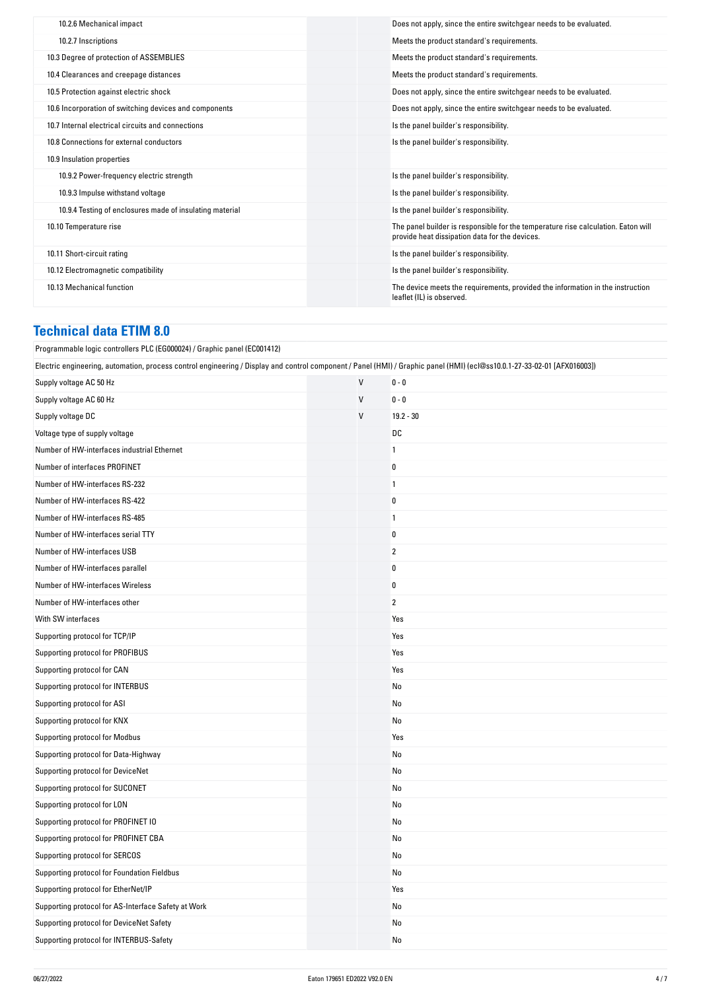| 10.2.6 Mechanical impact                                 | Does not apply, since the entire switchgear needs to be evaluated.                                                                  |
|----------------------------------------------------------|-------------------------------------------------------------------------------------------------------------------------------------|
| 10.2.7 Inscriptions                                      | Meets the product standard's requirements.                                                                                          |
| 10.3 Degree of protection of ASSEMBLIES                  | Meets the product standard's requirements.                                                                                          |
| 10.4 Clearances and creepage distances                   | Meets the product standard's requirements.                                                                                          |
| 10.5 Protection against electric shock                   | Does not apply, since the entire switchgear needs to be evaluated.                                                                  |
| 10.6 Incorporation of switching devices and components   | Does not apply, since the entire switchgear needs to be evaluated.                                                                  |
| 10.7 Internal electrical circuits and connections        | Is the panel builder's responsibility.                                                                                              |
| 10.8 Connections for external conductors                 | Is the panel builder's responsibility.                                                                                              |
| 10.9 Insulation properties                               |                                                                                                                                     |
| 10.9.2 Power-frequency electric strength                 | Is the panel builder's responsibility.                                                                                              |
| 10.9.3 Impulse withstand voltage                         | Is the panel builder's responsibility.                                                                                              |
| 10.9.4 Testing of enclosures made of insulating material | Is the panel builder's responsibility.                                                                                              |
| 10.10 Temperature rise                                   | The panel builder is responsible for the temperature rise calculation. Eaton will<br>provide heat dissipation data for the devices. |
| 10.11 Short-circuit rating                               | Is the panel builder's responsibility.                                                                                              |
| 10.12 Electromagnetic compatibility                      | Is the panel builder's responsibility.                                                                                              |
| 10.13 Mechanical function                                | The device meets the requirements, provided the information in the instruction<br>leaflet (IL) is observed.                         |
|                                                          |                                                                                                                                     |

## **Technical data ETIM 8.0**

| Programmable logic controllers PLC (EG000024) / Graphic panel (EC001412)                                                                                                 |              |                |  |
|--------------------------------------------------------------------------------------------------------------------------------------------------------------------------|--------------|----------------|--|
| Electric engineering, automation, process control engineering / Display and control component / Panel (HMI) / Graphic panel (HMI) (ecl@ss10.0.1-27-33-02-01 [AFX016003]) |              |                |  |
| Supply voltage AC 50 Hz                                                                                                                                                  | $\mathsf{V}$ | $0 - 0$        |  |
| Supply voltage AC 60 Hz                                                                                                                                                  | $\mathsf{V}$ | $0 - 0$        |  |
| Supply voltage DC                                                                                                                                                        | V            | $19.2 - 30$    |  |
| Voltage type of supply voltage                                                                                                                                           |              | DC             |  |
| Number of HW-interfaces industrial Ethernet                                                                                                                              |              | 1              |  |
| Number of interfaces PROFINET                                                                                                                                            |              | 0              |  |
| Number of HW-interfaces RS-232                                                                                                                                           |              | 1              |  |
| Number of HW-interfaces RS-422                                                                                                                                           |              | 0              |  |
| Number of HW-interfaces RS-485                                                                                                                                           |              | 1              |  |
| Number of HW-interfaces serial TTY                                                                                                                                       |              | 0              |  |
| Number of HW-interfaces USB                                                                                                                                              |              | $\overline{2}$ |  |
| Number of HW-interfaces parallel                                                                                                                                         |              | $\bf{0}$       |  |
| Number of HW-interfaces Wireless                                                                                                                                         |              | $\bf{0}$       |  |
| Number of HW-interfaces other                                                                                                                                            |              | $\overline{2}$ |  |
| With SW interfaces                                                                                                                                                       |              | Yes            |  |
| Supporting protocol for TCP/IP                                                                                                                                           |              | Yes            |  |
| Supporting protocol for PROFIBUS                                                                                                                                         |              | Yes            |  |
| Supporting protocol for CAN                                                                                                                                              |              | Yes            |  |
| Supporting protocol for INTERBUS                                                                                                                                         |              | No             |  |
| Supporting protocol for ASI                                                                                                                                              |              | No             |  |
| Supporting protocol for KNX                                                                                                                                              |              | No             |  |
| Supporting protocol for Modbus                                                                                                                                           |              | Yes            |  |
| Supporting protocol for Data-Highway                                                                                                                                     |              | No             |  |
| Supporting protocol for DeviceNet                                                                                                                                        |              | No             |  |
| Supporting protocol for SUCONET                                                                                                                                          |              | No             |  |
| Supporting protocol for LON                                                                                                                                              |              | No             |  |
| Supporting protocol for PROFINET IO                                                                                                                                      |              | No             |  |
| Supporting protocol for PROFINET CBA                                                                                                                                     |              | No             |  |
| Supporting protocol for SERCOS                                                                                                                                           |              | No             |  |
| Supporting protocol for Foundation Fieldbus                                                                                                                              |              | No             |  |
| Supporting protocol for EtherNet/IP                                                                                                                                      |              | Yes            |  |
| Supporting protocol for AS-Interface Safety at Work                                                                                                                      |              | No             |  |
| Supporting protocol for DeviceNet Safety                                                                                                                                 |              | No             |  |
| Supporting protocol for INTERBUS-Safety                                                                                                                                  |              | No             |  |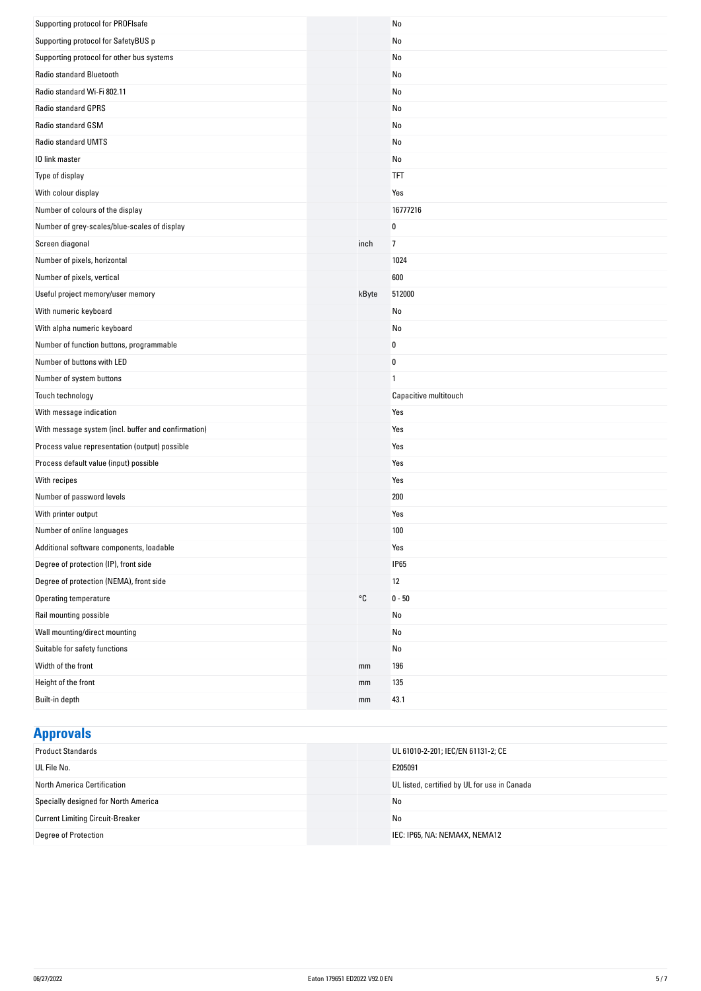| Supporting protocol for PROFIsafe                   |       | No                    |
|-----------------------------------------------------|-------|-----------------------|
| Supporting protocol for SafetyBUS p                 |       | No                    |
| Supporting protocol for other bus systems           |       | No                    |
| Radio standard Bluetooth                            |       | No                    |
| Radio standard Wi-Fi 802.11                         |       | No                    |
| Radio standard GPRS                                 |       | No                    |
| Radio standard GSM                                  |       | No                    |
| Radio standard UMTS                                 |       | No                    |
| 10 link master                                      |       | No                    |
| Type of display                                     |       | <b>TFT</b>            |
| With colour display                                 |       | Yes                   |
| Number of colours of the display                    |       | 16777216              |
| Number of grey-scales/blue-scales of display        |       | 0                     |
| Screen diagonal                                     | inch  | $\overline{7}$        |
| Number of pixels, horizontal                        |       | 1024                  |
| Number of pixels, vertical                          |       | 600                   |
| Useful project memory/user memory                   | kByte | 512000                |
| With numeric keyboard                               |       | No                    |
| With alpha numeric keyboard                         |       | No                    |
| Number of function buttons, programmable            |       | 0                     |
| Number of buttons with LED                          |       | $\pmb{0}$             |
| Number of system buttons                            |       | $\mathbf{1}$          |
| Touch technology                                    |       | Capacitive multitouch |
| With message indication                             |       | Yes                   |
| With message system (incl. buffer and confirmation) |       | Yes                   |
| Process value representation (output) possible      |       | Yes                   |
| Process default value (input) possible              |       | Yes                   |
| With recipes                                        |       | Yes                   |
| Number of password levels                           |       | 200                   |
| With printer output                                 |       | Yes                   |
| Number of online languages                          |       | 100                   |
| Additional software components, loadable            |       | Yes                   |
| Degree of protection (IP), front side               |       | <b>IP65</b>           |
| Degree of protection (NEMA), front side             |       | 12                    |
| Operating temperature                               | °C    | $0 - 50$              |
| Rail mounting possible                              |       | No                    |
| Wall mounting/direct mounting                       |       | No                    |
| Suitable for safety functions                       |       | No                    |
| Width of the front                                  | mm    | 196                   |
| Height of the front                                 | mm    | 135                   |
| Built-in depth                                      | mm    | 43.1                  |

## **Approvals**

| <b>Product Standards</b>                | UL 61010-2-201; IEC/EN 61131-2; CE           |
|-----------------------------------------|----------------------------------------------|
| UL File No.                             | E205091                                      |
| North America Certification             | UL listed, certified by UL for use in Canada |
| Specially designed for North America    | No                                           |
| <b>Current Limiting Circuit-Breaker</b> | No                                           |
| Degree of Protection                    | IEC: IP65, NA: NEMA4X, NEMA12                |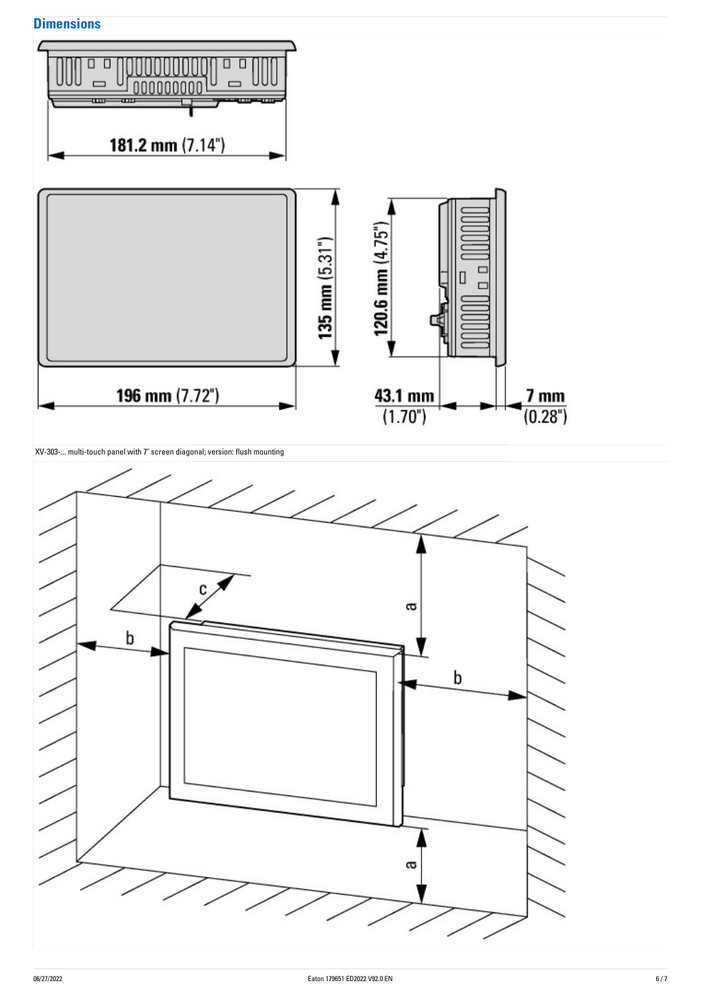## **Dimensions**